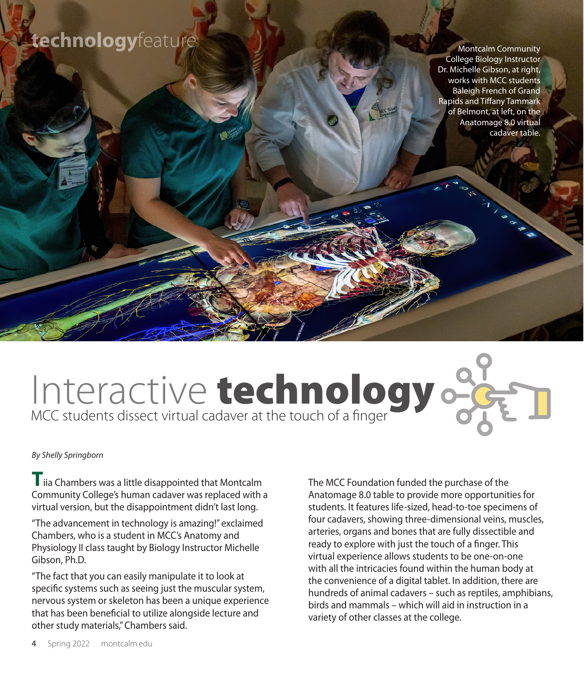## **technology**feature

Montcalm Community College Biology Instructor Dr. Michelle Gibson, at right, works with MCC students Baleigh French of Grand Rapids and Tiffany Tammark of Belmont, at left, on the Anatomage 8.0 virtual cadaver table.

## Interactive technology  $\frac{1}{\sqrt{2}}$

*By Shelly Springborn* 

**T**iia Chambers was a little disappointed that Montcalm Community College's human cadaver was replaced with a virtual version, but the disappointment didn't last long.

"The advancement in technology is amazing!" exclaimed Chambers, who is a student in MCC's Anatomy and Physiology II class taught by Biology Instructor Michelle Gibson, Ph.D.

"The fact that you can easily manipulate it to look at specific systems such as seeing just the muscular system, nervous system or skeleton has been a unique experience that has been beneficial to utilize alongside lecture and other study materials," Chambers said.

The MCC Foundation funded the purchase of the Anatomage 8.0 table to provide more opportunities for students. It features life-sized, head-to-toe specimens of four cadavers, showing three-dimensional veins, muscles, arteries, organs and bones that are fully dissectible and ready to explore with just the touch of a finger. This virtual experience allows students to be one-on-one with all the intricacies found within the human body at the convenience of a digital tablet. In addition, there are hundreds of animal cadavers – such as reptiles, amphibians, birds and mammals – which will aid in instruction in a variety of other classes at the college.